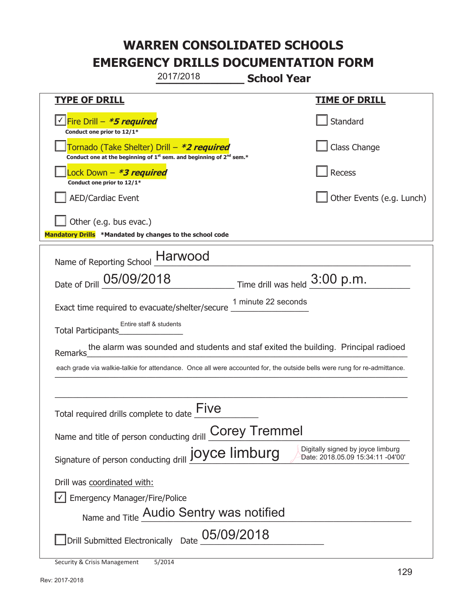**\_\_\_\_\_\_\_\_\_\_\_\_\_ School Year TYPE OF DRILL TIME OF DRILL**  侊Fire Drill – **\*5 required** ✔ **Conduct one prior to 12/1\* Standard** 侊Tornado (Take Shelter) Drill – **\*2 required** Conduct one at the beginning of 1<sup>st</sup> sem. and beginning of 2<sup>nd</sup> sem.\* Class Change 侊Lock Down – **\*3 required Conduct one prior to 12/1\* Recess** AED/Cardiac Event **AED/Cardiac Event Network Network Network Network Network Network Network Network Network Network Network Network Network Network Network Network Network Network Net** Other (e.g. bus evac.) **Mandatory Drills \*Mandated by changes to the school code**  Name of Reporting School **Harwood** Date of Drill  $\underline{05/09/2018}$  Time drill was held  $\underline{3:00}$  p.m. Exact time required to evacuate/shelter/secure Total Participants\_\_\_\_\_\_\_\_\_\_\_\_\_\_ Remarks\_\_\_\_\_\_\_\_\_\_\_\_\_\_\_\_\_\_\_\_\_\_\_\_\_\_\_\_\_\_\_\_\_\_\_\_\_\_\_\_\_\_\_\_\_\_\_\_\_\_\_\_\_\_\_\_\_\_\_\_\_\_\_\_\_\_\_\_\_\_ the alarm was sounded and students and staf exited the building. Principal radioed each grade via walkie-talkie for attendance. Once all were accounted for, the outside bells were rung for re-admittance.  $\_$  , and the set of the set of the set of the set of the set of the set of the set of the set of the set of the set of the set of the set of the set of the set of the set of the set of the set of the set of the set of th Total required drills complete to date  $\overline{\text{Five}}$ Name and title of person conducting drill **Corey Tremmel** Signature of person conducting drill **joyce limburg** Digitally signed by joyce limburg Signature of person conducting drill **joyce limburg** Drill was coordinated with:  $\boxed{\checkmark}$  Emergency Manager/Fire/Police Name and Title **Audio Sentry was notified**  $\square$ Drill Submitted Electronically Date  $\underline{\text{05/09/2018}}$ 2017/2018 1 minute 22 seconds Entire staff & students Date: 2018.05.09 15:34:11 -04'00'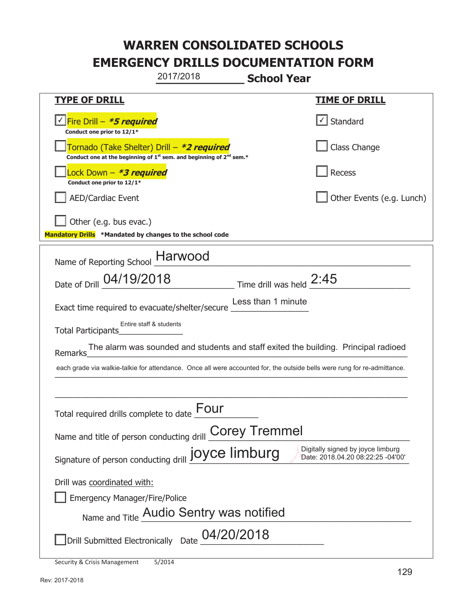|                                                                                    | 2017/2018                                                                                   | <b>School Year</b>       |                                                                                                                          |
|------------------------------------------------------------------------------------|---------------------------------------------------------------------------------------------|--------------------------|--------------------------------------------------------------------------------------------------------------------------|
| <b>TYPE OF DRILL</b>                                                               |                                                                                             |                          | <u>TIME OF DRILL</u>                                                                                                     |
| V Fire Drill - *5 required<br>Conduct one prior to 12/1*                           |                                                                                             |                          | √ Standard                                                                                                               |
| Tornado (Take Shelter) Drill – *2 required                                         | Conduct one at the beginning of 1 <sup>st</sup> sem. and beginning of 2 <sup>nd</sup> sem.* |                          | Class Change                                                                                                             |
| Lock Down - *3 required<br>Conduct one prior to 12/1*                              |                                                                                             |                          | <b>Recess</b>                                                                                                            |
| <b>AED/Cardiac Event</b>                                                           |                                                                                             |                          | Other Events (e.g. Lunch)                                                                                                |
| Other (e.g. bus evac.)<br>Mandatory Drills *Mandated by changes to the school code |                                                                                             |                          |                                                                                                                          |
| Name of Reporting School                                                           | <b>Harwood</b>                                                                              |                          |                                                                                                                          |
| Date of Drill 04/19/2018                                                           |                                                                                             | Time drill was held 2:45 |                                                                                                                          |
| Exact time required to evacuate/shelter/secure                                     |                                                                                             | Less than 1 minute       |                                                                                                                          |
| Total Participants                                                                 | Entire staff & students                                                                     |                          |                                                                                                                          |
| Remarks                                                                            |                                                                                             |                          | The alarm was sounded and students and staff exited the building. Principal radioed                                      |
|                                                                                    |                                                                                             |                          | each grade via walkie-talkie for attendance. Once all were accounted for, the outside bells were rung for re-admittance. |
|                                                                                    |                                                                                             |                          |                                                                                                                          |
| Total required drills complete to date $\underline{\operatorname{\mathsf{Four}}}$  |                                                                                             |                          |                                                                                                                          |
| Name and title of person conducting drill <b>Corey Tremmel</b>                     |                                                                                             |                          |                                                                                                                          |
| Signature of person conducting drill joyce limburg                                 |                                                                                             |                          | Digitally signed by joyce limburg<br>Date: 2018.04.20 08:22:25 -04'00'                                                   |
| Drill was coordinated with:                                                        |                                                                                             |                          |                                                                                                                          |
| <b>Emergency Manager/Fire/Police</b>                                               |                                                                                             |                          |                                                                                                                          |
|                                                                                    | Name and Title Audio Sentry was notified                                                    |                          |                                                                                                                          |
|                                                                                    | Drill Submitted Electronically Date 04/20/2018                                              |                          |                                                                                                                          |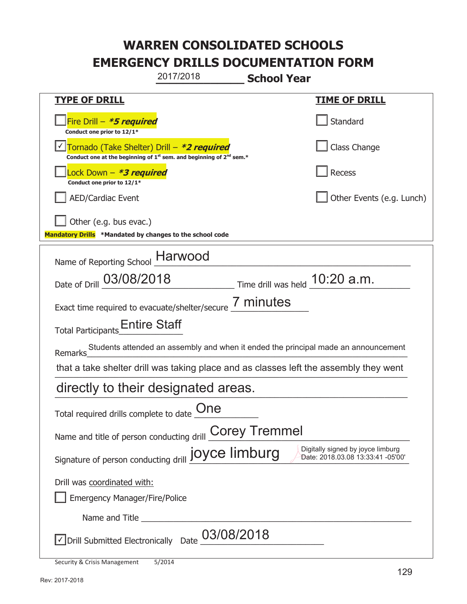|                                                                                    | 2017/2018                                                                     | <b>School Year</b>               |                                                                                       |
|------------------------------------------------------------------------------------|-------------------------------------------------------------------------------|----------------------------------|---------------------------------------------------------------------------------------|
| <b>TYPE OF DRILL</b>                                                               |                                                                               |                                  | <u>TIME OF DRILL</u>                                                                  |
| Fire Drill - *5 required<br>Conduct one prior to 12/1*                             |                                                                               |                                  | Standard                                                                              |
| Tornado (Take Shelter) Drill – *2 required                                         | Conduct one at the beginning of $1^{st}$ sem. and beginning of $2^{nd}$ sem.* |                                  | Class Change                                                                          |
| ock Down – <b>*3 required</b><br>Conduct one prior to 12/1*                        |                                                                               |                                  | Recess                                                                                |
| <b>AED/Cardiac Event</b>                                                           |                                                                               |                                  | Other Events (e.g. Lunch)                                                             |
| Other (e.g. bus evac.)<br>Mandatory Drills *Mandated by changes to the school code |                                                                               |                                  |                                                                                       |
| Name of Reporting School                                                           | <b>Harwood</b>                                                                |                                  |                                                                                       |
| Date of Drill 03/08/2018                                                           |                                                                               | Time drill was held $10:20$ a.m. |                                                                                       |
| Exact time required to evacuate/shelter/secure 7 minutes                           |                                                                               |                                  |                                                                                       |
| Total Participants <b>Entire Staff</b>                                             |                                                                               |                                  |                                                                                       |
| Remarks                                                                            |                                                                               |                                  | Students attended an assembly and when it ended the principal made an announcement    |
|                                                                                    |                                                                               |                                  | that a take shelter drill was taking place and as classes left the assembly they went |
| directly to their designated areas.                                                |                                                                               |                                  |                                                                                       |
| Total required drills complete to date $\underset{\longrightarrow}{\text{One}}$    |                                                                               |                                  |                                                                                       |
| Name and title of person conducting drill <b>Corey Tremmel</b>                     |                                                                               |                                  |                                                                                       |
| Signature of person conducting drill joyce limburg                                 |                                                                               |                                  | Digitally signed by joyce limburg<br>Date: 2018.03.08 13:33:41 -05'00'                |
| Drill was coordinated with:                                                        |                                                                               |                                  |                                                                                       |
| <b>Emergency Manager/Fire/Police</b>                                               |                                                                               |                                  |                                                                                       |
| Name and Title                                                                     |                                                                               |                                  |                                                                                       |
| √ Drill Submitted Electronically Date                                              | 03/08/2018                                                                    |                                  |                                                                                       |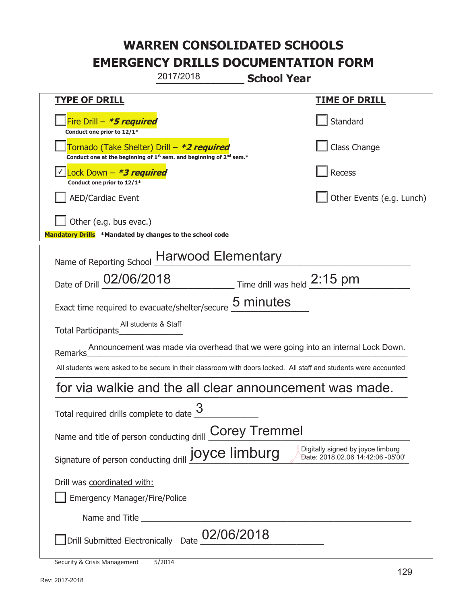|                                                                                    | 2017/2018                                                                                                                                 | <b>School Year</b>                                                          |                                                                                                                  |  |
|------------------------------------------------------------------------------------|-------------------------------------------------------------------------------------------------------------------------------------------|-----------------------------------------------------------------------------|------------------------------------------------------------------------------------------------------------------|--|
| <u>TYPE OF DRILL</u>                                                               |                                                                                                                                           |                                                                             | <u>TIME OF DRILL</u>                                                                                             |  |
| Fire Drill - *5 required<br>Conduct one prior to 12/1*                             |                                                                                                                                           |                                                                             | Standard                                                                                                         |  |
|                                                                                    | Tornado (Take Shelter) Drill – *2 required<br>Conduct one at the beginning of 1 <sup>st</sup> sem. and beginning of 2 <sup>nd</sup> sem.* |                                                                             | <b>Class Change</b>                                                                                              |  |
| Lock Down - *3 required<br>Conduct one prior to 12/1*                              |                                                                                                                                           |                                                                             | <b>Recess</b>                                                                                                    |  |
| <b>AED/Cardiac Event</b>                                                           |                                                                                                                                           |                                                                             | Other Events (e.g. Lunch)                                                                                        |  |
| Other (e.g. bus evac.)<br>Mandatory Drills *Mandated by changes to the school code |                                                                                                                                           |                                                                             |                                                                                                                  |  |
| Name of Reporting School Harwood Elementary                                        |                                                                                                                                           |                                                                             |                                                                                                                  |  |
| Date of Drill 02/06/2018                                                           |                                                                                                                                           | $\frac{2:15 \text{ pm}}{2}$ Time drill was held $\frac{2:15 \text{ pm}}{2}$ |                                                                                                                  |  |
| Exact time required to evacuate/shelter/secure                                     |                                                                                                                                           | 5 minutes                                                                   |                                                                                                                  |  |
| Total Participants                                                                 | All students & Staff                                                                                                                      |                                                                             |                                                                                                                  |  |
| Remarks                                                                            |                                                                                                                                           |                                                                             | Announcement was made via overhead that we were going into an internal Lock Down.                                |  |
|                                                                                    |                                                                                                                                           |                                                                             | All students were asked to be secure in their classroom with doors locked. All staff and students were accounted |  |
| for via walkie and the all clear announcement was made.                            |                                                                                                                                           |                                                                             |                                                                                                                  |  |
| Total required drills complete to date $\frac{3}{2}$                               |                                                                                                                                           |                                                                             |                                                                                                                  |  |
| <b>Corey Tremmel</b><br>Name and title of person conducting drill                  |                                                                                                                                           |                                                                             |                                                                                                                  |  |
| Signature of person conducting drill joyce limburg                                 |                                                                                                                                           |                                                                             | Digitally signed by joyce limburg<br>Date: 2018.02.06 14:42:06 -05'00'                                           |  |
| Drill was coordinated with:                                                        |                                                                                                                                           |                                                                             |                                                                                                                  |  |
| <b>Emergency Manager/Fire/Police</b>                                               |                                                                                                                                           |                                                                             |                                                                                                                  |  |
| Name and Title                                                                     |                                                                                                                                           |                                                                             |                                                                                                                  |  |
| Drill Submitted Electronically Date                                                |                                                                                                                                           | 02/06/2018                                                                  |                                                                                                                  |  |
| Security & Crisis Management                                                       | 5/2014                                                                                                                                    |                                                                             |                                                                                                                  |  |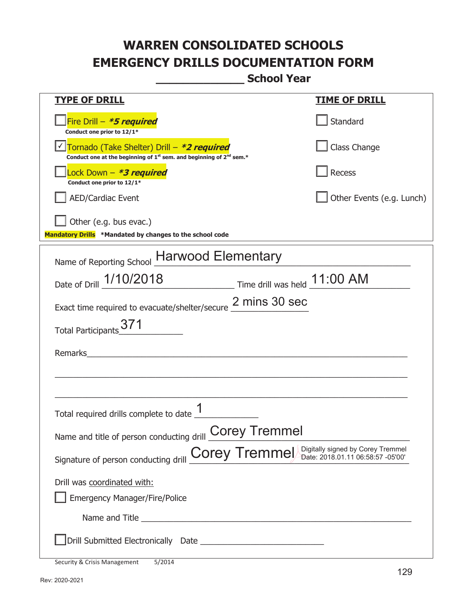**\_\_\_\_\_\_\_\_\_\_\_\_\_ School Year** 

| <b>TYPE OF DRILL</b>                                                                                                                      | <u>TIME OF DRILL</u>      |  |
|-------------------------------------------------------------------------------------------------------------------------------------------|---------------------------|--|
|                                                                                                                                           |                           |  |
| Fire Drill - *5 required<br>Conduct one prior to 12/1*                                                                                    | Standard                  |  |
| Tornado (Take Shelter) Drill – *2 required<br>Conduct one at the beginning of 1 <sup>st</sup> sem. and beginning of 2 <sup>nd</sup> sem.* | Class Change              |  |
| Lock Down - *3 required<br>Conduct one prior to 12/1*                                                                                     | Recess                    |  |
| <b>AED/Cardiac Event</b>                                                                                                                  | Other Events (e.g. Lunch) |  |
| Other (e.g. bus evac.)<br>Mandatory Drills *Mandated by changes to the school code                                                        |                           |  |
| Name of Reporting School Harwood Elementary                                                                                               |                           |  |
| Date of Drill 1/10/2018 Time drill was held 11:00 AM                                                                                      |                           |  |
| Exact time required to evacuate/shelter/secure 2 mins 30 sec                                                                              |                           |  |
|                                                                                                                                           |                           |  |
| <b>Total Participants</b>                                                                                                                 |                           |  |
| Remarks                                                                                                                                   |                           |  |
|                                                                                                                                           |                           |  |
|                                                                                                                                           |                           |  |
| Total required drills complete to date $\frac{I}{I}$                                                                                      |                           |  |
| Name and title of person conducting drill <b>Corey Tremmel</b>                                                                            |                           |  |
| Signature of person conducting drill <b>Corey Tremmel</b> Digitally signed by Corey Tremmel                                               |                           |  |
| Drill was coordinated with:                                                                                                               |                           |  |
| <b>Emergency Manager/Fire/Police</b>                                                                                                      |                           |  |
| Name and Title <b>Example 2018</b> Name and Title <b>1998</b>                                                                             |                           |  |
|                                                                                                                                           |                           |  |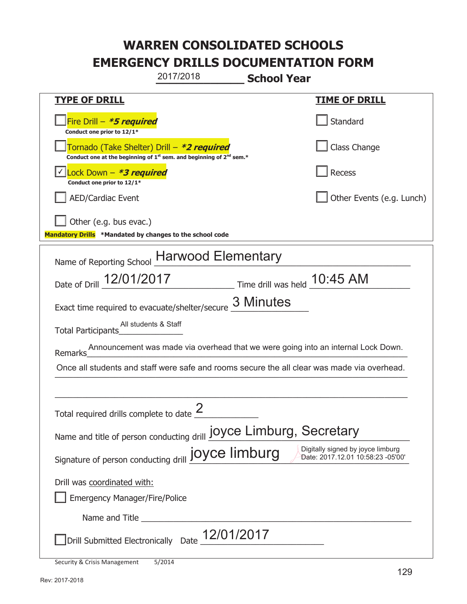|                                                                                    | 2017/2018                                                                                                                                 | <b>School Year</b>             |                                                                                             |  |
|------------------------------------------------------------------------------------|-------------------------------------------------------------------------------------------------------------------------------------------|--------------------------------|---------------------------------------------------------------------------------------------|--|
| <b>TYPE OF DRILL</b>                                                               |                                                                                                                                           |                                | <u>TIME OF DRILL</u>                                                                        |  |
| Fire Drill - *5 required<br>Conduct one prior to 12/1*                             |                                                                                                                                           |                                | Standard                                                                                    |  |
|                                                                                    | Tornado (Take Shelter) Drill – *2 required<br>Conduct one at the beginning of 1 <sup>st</sup> sem. and beginning of 2 <sup>nd</sup> sem.* |                                | Class Change                                                                                |  |
| Lock Down - <b>*3 required</b><br>Conduct one prior to 12/1*                       |                                                                                                                                           |                                | Recess                                                                                      |  |
| <b>AED/Cardiac Event</b>                                                           |                                                                                                                                           |                                | Other Events (e.g. Lunch)                                                                   |  |
| Other (e.g. bus evac.)<br>Mandatory Drills *Mandated by changes to the school code |                                                                                                                                           |                                |                                                                                             |  |
| Name of Reporting School Harwood Elementary                                        |                                                                                                                                           |                                |                                                                                             |  |
| Date of Drill 12/01/2017                                                           |                                                                                                                                           | Time drill was held _ 10:45 AM |                                                                                             |  |
| Exact time required to evacuate/shelter/secure                                     |                                                                                                                                           | 3 Minutes                      |                                                                                             |  |
| Total Participants                                                                 | All students & Staff                                                                                                                      |                                |                                                                                             |  |
| Remarks                                                                            |                                                                                                                                           |                                | Announcement was made via overhead that we were going into an internal Lock Down.           |  |
|                                                                                    |                                                                                                                                           |                                | Once all students and staff were safe and rooms secure the all clear was made via overhead. |  |
|                                                                                    |                                                                                                                                           |                                |                                                                                             |  |
| Total required drills complete to date $\leq$                                      | 2                                                                                                                                         |                                |                                                                                             |  |
| Name and title of person conducting drill <b>JOYCE Limburg</b> , Secretary         |                                                                                                                                           |                                |                                                                                             |  |
| Signature of person conducting drill joyce limburg                                 |                                                                                                                                           |                                | Digitally signed by joyce limburg<br>Date: 2017.12.01 10:58:23 -05'00'                      |  |
| Drill was coordinated with:                                                        |                                                                                                                                           |                                |                                                                                             |  |
| <b>Emergency Manager/Fire/Police</b>                                               |                                                                                                                                           |                                |                                                                                             |  |
|                                                                                    |                                                                                                                                           |                                |                                                                                             |  |
|                                                                                    | Drill Submitted Electronically Date 12/01/2017                                                                                            |                                |                                                                                             |  |
| Security & Crisis Management                                                       | 5/2014                                                                                                                                    |                                |                                                                                             |  |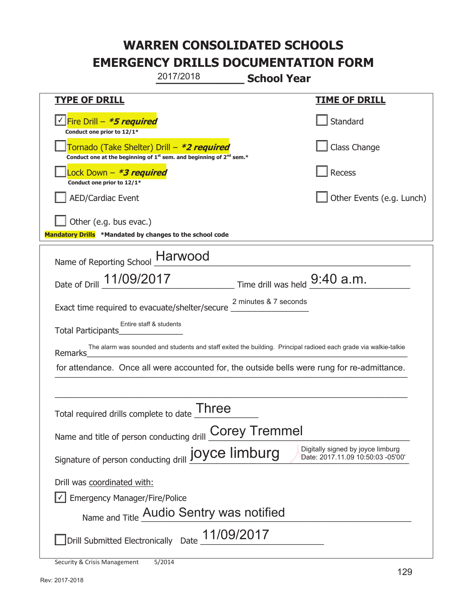**\_\_\_\_\_\_\_\_\_\_\_\_\_ School Year TYPE OF DRILL TIME OF DRILL**  侊Fire Drill – **\*5 required** ✔ **Conduct one prior to 12/1\* Standard** 侊Tornado (Take Shelter) Drill – **\*2 required** Conduct one at the beginning of 1<sup>st</sup> sem. and beginning of 2<sup>nd</sup> sem.\* Class Change 侊Lock Down – **\*3 required Conduct one prior to 12/1\* Recess** AED/Cardiac Event **AED/Cardiac Event Network Network Network Network Network Network Network Network Network Network Network Network Network Network Network Network Network Network Net** Other (e.g. bus evac.) **Mandatory Drills \*Mandated by changes to the school code**  Name of Reporting School **Harwood** Date of Drill 11/09/2017 Exact time required to evacuate/shelter/secure Total Participants Remarks\_\_\_\_\_\_\_\_\_\_\_\_\_\_\_\_\_\_\_\_\_\_\_\_\_\_\_\_\_\_\_\_\_\_\_\_\_\_\_\_\_\_\_\_\_\_\_\_\_\_\_\_\_\_\_\_\_\_\_\_\_\_\_\_\_\_\_\_\_\_ for attendance. Once all were accounted for, the outside bells were rung for re-admittance.  $\_$  , and the set of the set of the set of the set of the set of the set of the set of the set of the set of the set of the set of the set of the set of the set of the set of the set of the set of the set of the set of th Total required drills complete to date  $\overline{\phantom{a}}$  Three Name and title of person conducting drill **Corey Tremmel** Signature of person conducting drill **joyce limburg** Digitally signed by joyce limburg Signature of person conducting drill **joyce limburg** Drill was coordinated with:  $\boxed{\checkmark}$  Emergency Manager/Fire/Police Name and Title **Audio Sentry was notified** Drill Submitted Electronically Date  $\frac{11/09/2017}{\sqrt{11/09}}$ 2017/2018  $\_$  Time drill was held  $9:40$  a.m. 2 minutes & 7 seconds Entire staff & students The alarm was sounded and students and staff exited the building. Principal radioed each grade via walkie-talkie Date: 2017.11.09 10:50:03 -05'00'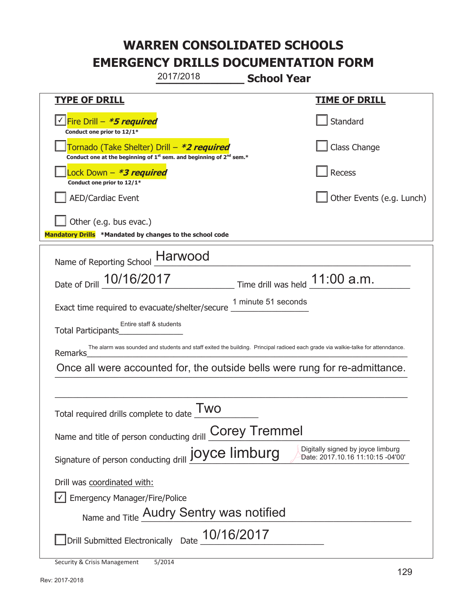**\_\_\_\_\_\_\_\_\_\_\_\_\_ School Year TYPE OF DRILL TIME OF DRILL**  侊Fire Drill – **\*5 required** ✔ **Conduct one prior to 12/1\* Standard** 侊Tornado (Take Shelter) Drill – **\*2 required** Conduct one at the beginning of 1<sup>st</sup> sem. and beginning of 2<sup>nd</sup> sem.\* Class Change 侊Lock Down – **\*3 required Conduct one prior to 12/1\* Recess** AED/Cardiac Event **AED/Cardiac Event Network Network Network Network Network Network Network Network Network Network Network Network Network Network Network Network Network Network Net** Other (e.g. bus evac.) **Mandatory Drills \*Mandated by changes to the school code**  Name of Reporting School **Harwood** Date of Drill  $\frac{10/16/2017}{20}$  Time drill was held  $\frac{11:00 \text{ a.m.}}{20}$ Exact time required to evacuate/shelter/secure Total Participants\_\_\_\_\_\_\_\_\_\_\_\_\_\_ Remarks\_\_\_\_\_\_\_\_\_\_\_\_\_\_\_\_\_\_\_\_\_\_\_\_\_\_\_\_\_\_\_\_\_\_\_\_\_\_\_\_\_\_\_\_\_\_\_\_\_\_\_\_\_\_\_\_\_\_\_\_\_\_\_\_\_\_\_\_\_\_ Once all were accounted for, the outside bells were rung for re-admittance.  $\_$  , and the set of the set of the set of the set of the set of the set of the set of the set of the set of the set of the set of the set of the set of the set of the set of the set of the set of the set of the set of th Total required drills complete to date  $\frac{Two}{\sim}$ Name and title of person conducting drill **Corey Tremmel** Signature of person conducting drill **joyce limburg** Digitally signed by joyce limburg Signature of person conducting drill **joyce limburg** Drill was coordinated with:  $\boxed{\checkmark}$  Emergency Manager/Fire/Police Name and Title **Audry Sentry was notified** Drill Submitted Electronically Date  $\frac{10/16/2017}{\sqrt{100}}$ 2017/2018 1 minute 51 seconds Entire staff & students The alarm was sounded and students and staff exited the building. Principal radioed each grade via walkie-talke for attenndance.<br>Remarks Date: 2017.10.16 11:10:15 -04'00'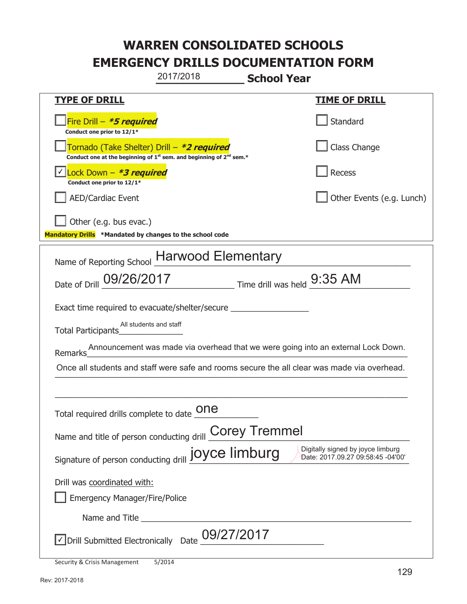|                                                                                                                                                  | 2017/2018  | <b>School Year</b>                                    |                                                                                   |
|--------------------------------------------------------------------------------------------------------------------------------------------------|------------|-------------------------------------------------------|-----------------------------------------------------------------------------------|
| <u>TYPE OF DRILL</u>                                                                                                                             |            |                                                       | <u>TIME OF DRILL</u>                                                              |
| Fire Drill - *5 required<br>Conduct one prior to 12/1*                                                                                           |            |                                                       | Standard                                                                          |
| Tornado (Take Shelter) Drill – <b>*2 required</b><br>Conduct one at the beginning of 1 <sup>st</sup> sem. and beginning of 2 <sup>nd</sup> sem.* |            |                                                       | Class Change                                                                      |
| √ Lock Down – <b>*3 required</b><br>Conduct one prior to 12/1*                                                                                   |            |                                                       | Recess                                                                            |
| <b>AED/Cardiac Event</b>                                                                                                                         |            |                                                       | Other Events (e.g. Lunch)                                                         |
| Other (e.g. bus evac.)<br>Mandatory Drills *Mandated by changes to the school code                                                               |            |                                                       |                                                                                   |
| Name of Reporting School Harwood Elementary                                                                                                      |            |                                                       |                                                                                   |
| Date of Drill 09/26/2017                                                                                                                         |            | $\frac{1}{2}$ Time drill was held $\frac{9:35}{2}$ AM |                                                                                   |
| Exact time required to evacuate/shelter/secure                                                                                                   |            |                                                       |                                                                                   |
| All students and staff<br>Total Participants Total Property                                                                                      |            |                                                       |                                                                                   |
| <b>Remarks</b>                                                                                                                                   |            |                                                       | Announcement was made via overhead that we were going into an external Lock Down. |
| Once all students and staff were safe and rooms secure the all clear was made via overhead.                                                      |            |                                                       |                                                                                   |
|                                                                                                                                                  |            |                                                       |                                                                                   |
| Total required drills complete to date $\underline{\textsf{one}}$                                                                                |            |                                                       |                                                                                   |
| Name and title of person conducting drill Corey Tremmel                                                                                          |            |                                                       |                                                                                   |
| Signature of person conducting drill joyce limburg                                                                                               |            |                                                       | Digitally signed by joyce limburg<br>Date: 2017.09.27 09:58:45 -04'00'            |
| Drill was coordinated with:                                                                                                                      |            |                                                       |                                                                                   |
| <b>Emergency Manager/Fire/Police</b>                                                                                                             |            |                                                       |                                                                                   |
|                                                                                                                                                  |            |                                                       |                                                                                   |
| √ Drill Submitted Electronically Date                                                                                                            | 09/27/2017 |                                                       |                                                                                   |